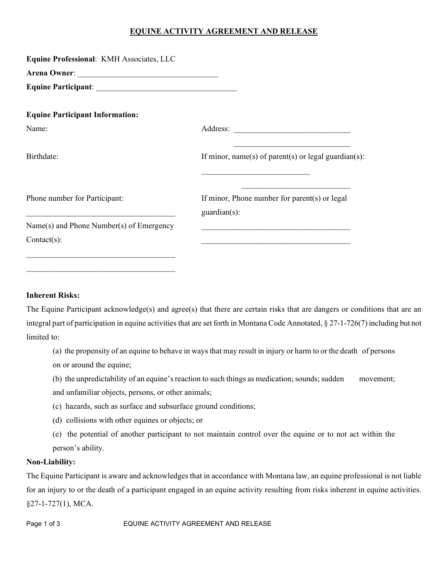# **EQUINE ACTIVITY AGREEMENT AND RELEASE**

| Equine Professional: KMH Associates, LLC                                                          |                                                                                                                     |
|---------------------------------------------------------------------------------------------------|---------------------------------------------------------------------------------------------------------------------|
|                                                                                                   |                                                                                                                     |
|                                                                                                   |                                                                                                                     |
| <b>Equine Participant Information:</b>                                                            |                                                                                                                     |
| Name:                                                                                             |                                                                                                                     |
| Birthdate:                                                                                        | <u> 1989 - Andrea Stadt Britain, amerikansk politiker (</u><br>If minor, name(s) of parent(s) or legal guardian(s): |
| Phone number for Participant:<br><u> 1980 - Jan James James Barnett, fransk politik (d. 1980)</u> | If minor, Phone number for parent(s) or legal<br>$\text{quardian}(s)$ :                                             |
| Name(s) and Phone Number(s) of Emergency                                                          | <u> 1980 - John Stein, mars and de Barbara (b. 1980)</u>                                                            |
| $Context(s)$ :                                                                                    |                                                                                                                     |
|                                                                                                   |                                                                                                                     |

## **Inherent Risks:**

 $\mathcal{L}_\text{max}$  and  $\mathcal{L}_\text{max}$  and  $\mathcal{L}_\text{max}$  and  $\mathcal{L}_\text{max}$ 

The Equine Participant acknowledge(s) and agree(s) that there are certain risks that are dangers or conditions that are an integral part of participation in equine activities that are set forth in Montana Code Annotated, § 27-1-726(7) including but not limited to:

(a) the propensity of an equine to behave in ways that may result in injury or harm to or the death of persons on or around the equine;

(b) the unpredictability of an equine's reaction to such things as medication; sounds; sudden movement; and unfamiliar objects, persons, or other animals;

- (c) hazards, such as surface and subsurface ground conditions;
- (d) collisions with other equines or objects; or
- (e) the potential of another participant to not maintain control over the equine or to not act within the person's ability.

## **Non-Liability:**

The Equine Participant is aware and acknowledges that in accordance with Montana law, an equine professional is not liable for an injury to or the death of a participant engaged in an equine activity resulting from risks inherent in equine activities. §27-1-727(1), MCA.

Page 1 of 3 EQUINE ACTIVITY AGREEMENT AND RELEASE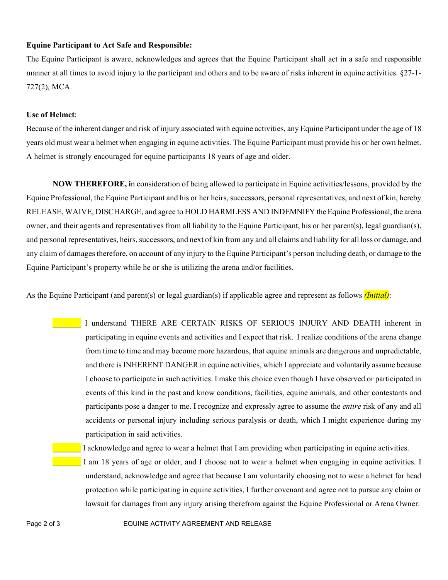## **Equine Participant to Act Safe and Responsible:**

The Equine Participant is aware, acknowledges and agrees that the Equine Participant shall act in a safe and responsible manner at all times to avoid injury to the participant and others and to be aware of risks inherent in equine activities. §27-1- 727(2), MCA.

#### **Use of Helmet**:

Because of the inherent danger and risk of injury associated with equine activities, any Equine Participant under the age of 18 years old must wear a helmet when engaging in equine activities. The Equine Participant must provide his or her own helmet. A helmet is strongly encouraged for equine participants 18 years of age and older.

**NOW THEREFORE, i**n consideration of being allowed to participate in Equine activities/lessons, provided by the Equine Professional, the Equine Participant and his or her heirs, successors, personal representatives, and next of kin, hereby RELEASE, WAIVE, DISCHARGE, and agree to HOLD HARMLESS AND INDEMNIFY the Equine Professional, the arena owner, and their agents and representatives from all liability to the Equine Participant, his or her parent(s), legal guardian(s), and personal representatives, heirs, successors, and next of kin from any and all claims and liability for all loss or damage, and any claim of damages therefore, on account of any injury to the Equine Participant's person including death, or damage to the Equine Participant's property while he or she is utilizing the arena and/or facilities.

As the Equine Participant (and parent(s) or legal guardian(s) if applicable agree and represent as follows *(Initial)*:

I understand THERE ARE CERTAIN RISKS OF SERIOUS INJURY AND DEATH inherent in participating in equine events and activities and I expect that risk. I realize conditions of the arena change from time to time and may become more hazardous, that equine animals are dangerous and unpredictable, and there is INHERENT DANGER in equine activities, which I appreciate and voluntarily assume because I choose to participate in such activities. I make this choice even though I have observed or participated in events of this kind in the past and know conditions, facilities, equine animals, and other contestants and participants pose a danger to me. I recognize and expressly agree to assume the *entire* risk of any and all accidents or personal injury including serious paralysis or death, which I might experience during my participation in said activities.

#### \_\_\_\_\_\_\_ I acknowledge and agree to wear a helmet that I am providing when participating in equine activities.

I am 18 years of age or older, and I choose not to wear a helmet when engaging in equine activities. I understand, acknowledge and agree that because I am voluntarily choosing not to wear a helmet for head protection while participating in equine activities, I further covenant and agree not to pursue any claim or lawsuit for damages from any injury arising therefrom against the Equine Professional or Arena Owner.

Page 2 of 3 EQUINE ACTIVITY AGREEMENT AND RELEASE